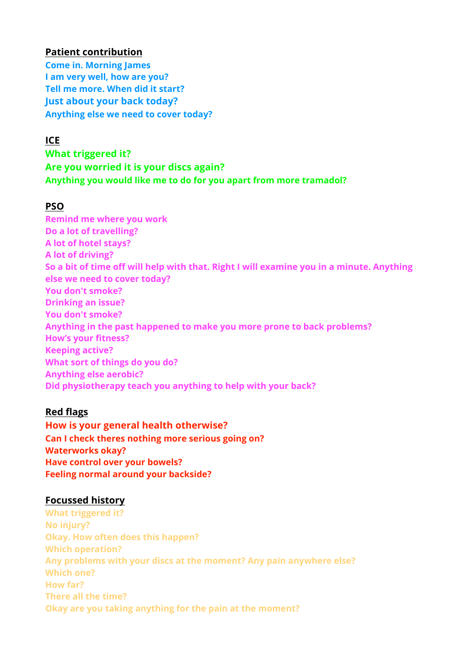### **Patient contribution**

**Come in. Morning James I am very well, how are you? Tell me more. When did it start? Just about your back today? Anything else we need to cover today?** 

## **ICE**

**What triggered it? Are you worried it is your discs again? Anything you would like me to do for you apart from more tramadol?** 

# **PSO**

**Remind me where you work Do a lot of travelling? A lot of hotel stays? A lot of driving? So a bit of time off will help with that. Right I will examine you in a minute. Anything else we need to cover today? You don't smoke? Drinking an issue? You don't smoke? Anything in the past happened to make you more prone to back problems? How's your fitness? Keeping active? What sort of things do you do? Anything else aerobic? Did physiotherapy teach you anything to help with your back?** 

# **Red flags**

**How is your general health otherwise? Can I check theres nothing more serious going on? Waterworks okay? Have control over your bowels? Feeling normal around your backside?** 

### **Focussed history**

**What triggered it? No injury? Okay. How often does this happen? Which operation? Any problems with your discs at the moment? Any pain anywhere else? Which one? How far? There all the time? Okay are you taking anything for the pain at the moment?**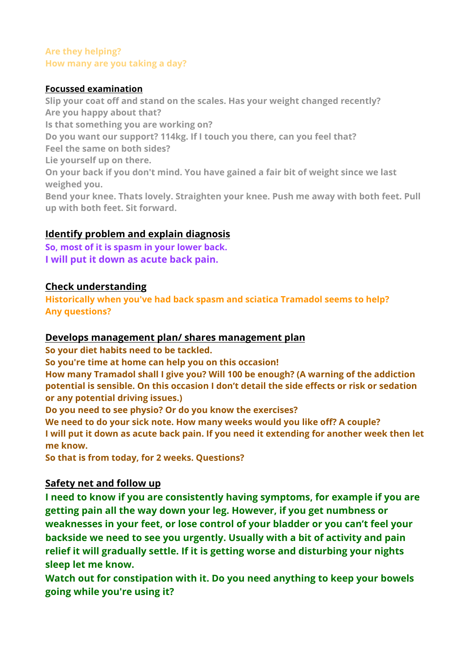### **Are they helping? How many are you taking a day?**

#### **Focussed examination**

**Slip your coat off and stand on the scales. Has your weight changed recently? Are you happy about that? Is that something you are working on? Do you want our support? 114kg. If I touch you there, can you feel that? Feel the same on both sides? Lie yourself up on there. On your back if you don't mind. You have gained a fair bit of weight since we last weighed you. Bend your knee. Thats lovely. Straighten your knee. Push me away with both feet. Pull up with both feet. Sit forward.** 

# **Identify problem and explain diagnosis**

**So, most of it is spasm in your lower back. I will put it down as acute back pain.** 

### **Check understanding**

**Historically when you've had back spasm and sciatica Tramadol seems to help? Any questions?** 

### **Develops management plan/ shares management plan**

**So your diet habits need to be tackled.** 

**So you're time at home can help you on this occasion!** 

**How many Tramadol shall I give you? Will 100 be enough? (A warning of the addiction potential is sensible. On this occasion I don't detail the side effects or risk or sedation or any potential driving issues.)** 

**Do you need to see physio? Or do you know the exercises?** 

**We need to do your sick note. How many weeks would you like off? A couple? I will put it down as acute back pain. If you need it extending for another week then let me know.** 

**So that is from today, for 2 weeks. Questions?** 

# **Safety net and follow up**

**I need to know if you are consistently having symptoms, for example if you are getting pain all the way down your leg. However, if you get numbness or weaknesses in your feet, or lose control of your bladder or you can't feel your backside we need to see you urgently. Usually with a bit of activity and pain relief it will gradually settle. If it is getting worse and disturbing your nights sleep let me know.** 

**Watch out for constipation with it. Do you need anything to keep your bowels going while you're using it?**